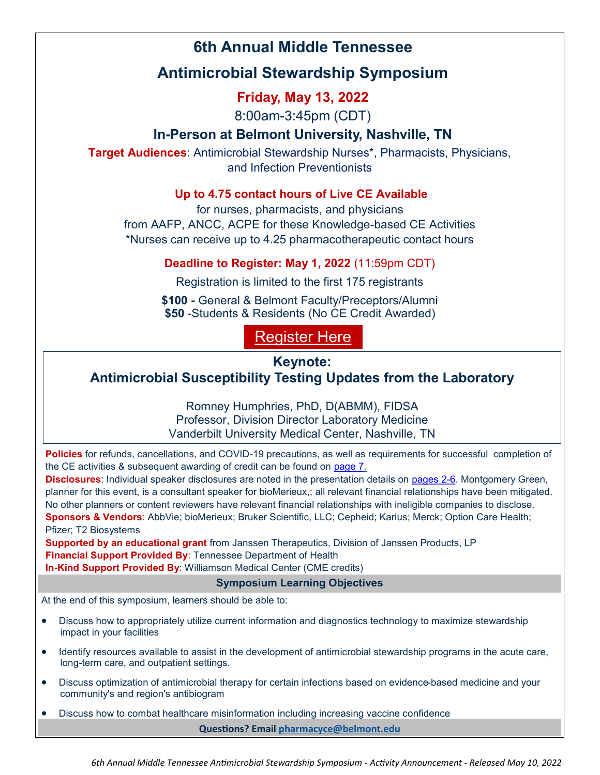## **6th Annual Middle Tennessee**

# **Antimicrobial Stewardship Symposium**

## **Friday, May 13, 2022**

8:00am-3:45pm (CDT)

## **In-Person at Belmont University, Nashville, TN**

**Target Audiences**: Antimicrobial Stewardship Nurses\*, Pharmacists, Physicians, and Infection Preventionists

### **Up to 4.75 contact hours of Live CE Available**

for nurses, pharmacists, and physicians from AAFP, ANCC, ACPE for these Knowledge-based CE Activities \*Nurses can receive up to 4.25 pharmacotherapeutic contact hours

### **Deadline to Register: May 1, 2022** (11:59pm CDT)

Registration is limited to the first 175 registrants

**\$100 -** General & Belmont Faculty/Preceptors/Alumni **\$50** -Students & Residents (No CE Credit Awarded)

# [Register Here](https://form.jotform.com/73125128908154)

## **Keynote:**

## **Antimicrobial Susceptibility Testing Updates from the Laboratory**

Romney Humphries, PhD, D(ABMM), FIDSA Professor, Division Director Laboratory Medicine Vanderbilt University Medical Center, Nashville, TN

**Policies** for refunds, cancellations, and COVID-19 precautions, as well as requirements for successful completion of the CE activities & subsequent awarding of credit can be found on [page 7.](#page-6-0)

**Disclosures**: Individual speaker disclosures are noted in the presentation details on [pages 2](#page-1-0)-6. Montgomery Green, planner for this event, is a consultant speaker for bioMerieux,; all relevant financial relationships have been mitigated. No other planners or content reviewers have relevant financial relationships with ineligible companies to disclose. **Sponsors & Vendors**: AbbVie; bioMerieux; Bruker Scientific, LLC; Cepheid; Karius; Merck; Option Care Health; Pfizer; T2 Biosystems

**Supported by an educational grant** from Janssen Therapeutics, Division of Janssen Products, LP **Financial Support Provided By: Tennessee Department of Health** 

**In-Kind Support Provided By**: Williamson Medical Center (CME credits)

### **Symposium Learning Objectives**

At the end of this symposium, learners should be able to:

- Discuss how to appropriately utilize current information and diagnostics technology to maximize stewardship impact in your facilities
- Identify resources available to assist in the development of antimicrobial stewardship programs in the acute care, long-term care, and outpatient settings.
- Discuss optimization of antimicrobial therapy for certain infections based on evidence-based medicine and your community's and region's antibiogram
- Discuss how to combat healthcare misinformation including increasing vaccine confidence

**Questions? Email [pharmacyce@belmont.edu](mailto:pharmacyce@belmont.edu)**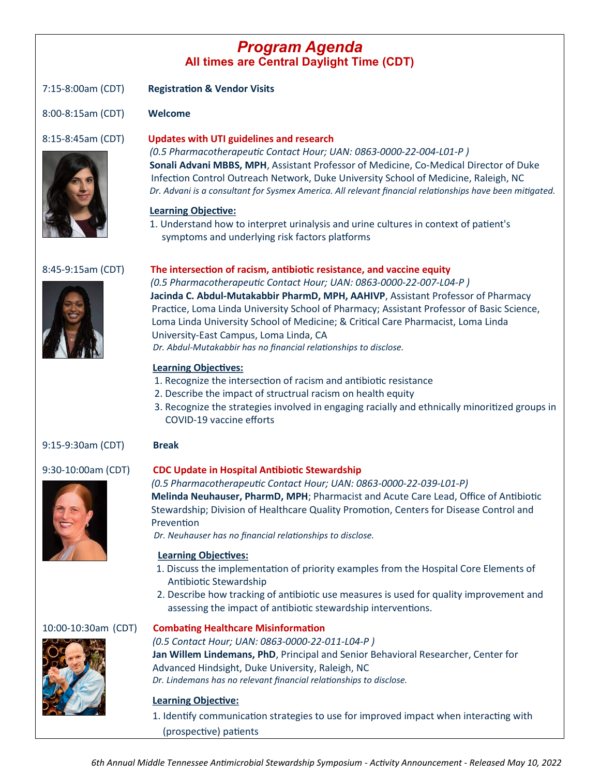## *Program Agenda* **All times are Central Daylight Time (CDT)**

<span id="page-1-0"></span>7:15-8:00am (CDT) **Registration & Vendor Visits** 8:00-8:15am (CDT) **Welcome** 8:15-8:45am (CDT) **Updates with UTI guidelines and research**  *(0.5 Pharmacotherapeutic Contact Hour; UAN: 0863-0000-22-004-L01-P )* **Sonali Advani MBBS, MPH**, Assistant Professor of Medicine, Co-Medical Director of Duke Infection Control Outreach Network, Duke University School of Medicine, Raleigh, NC *Dr. Advani is a consultant for Sysmex America. All relevant financial relationships have been mitigated.* **Learning Objective:**  1. Understand how to interpret urinalysis and urine cultures in context of patient's symptoms and underlying risk factors platforms 8:45-9:15am (CDT) **The intersection of racism, antibiotic resistance, and vaccine equity** *(0.5 Pharmacotherapeutic Contact Hour; UAN: 0863-0000-22-007-L04-P )*  **Jacinda C. Abdul-Mutakabbir PharmD, MPH, AAHIVP**, Assistant Professor of Pharmacy Practice, Loma Linda University School of Pharmacy; Assistant Professor of Basic Science, Loma Linda University School of Medicine; & Critical Care Pharmacist, Loma Linda University-East Campus, Loma Linda, CA *Dr. Abdul-Mutakabbir has no financial relationships to disclose.*  **Learning Objectives:** 1. Recognize the intersection of racism and antibiotic resistance 2. Describe the impact of structrual racism on health equity 3. Recognize the strategies involved in engaging racially and ethnically minoritized groups in COVID-19 vaccine efforts 9:15-9:30am (CDT) **Break** 9:30-10:00am (CDT) **CDC Update in Hospital Antibiotic Stewardship**  *(0.5 Pharmacotherapeutic Contact Hour; UAN: 0863-0000-22-039-L01-P)* **Melinda Neuhauser, PharmD, MPH**; Pharmacist and Acute Care Lead, Office of Antibiotic



Stewardship; Division of Healthcare Quality Promotion, Centers for Disease Control and Prevention

*Dr. Neuhauser has no financial relationships to disclose.*

### **Learning Objectives:**

- 1. Discuss the implementation of priority examples from the Hospital Core Elements of Antibiotic Stewardship
- 2. Describe how tracking of antibiotic use measures is used for quality improvement and assessing the impact of antibiotic stewardship interventions.



### 10:00-10:30am (CDT) **Combating Healthcare Misinformation**

 *(0.5 Contact Hour; UAN: 0863-0000-22-011-L04-P )* **Jan Willem Lindemans, PhD**, Principal and Senior Behavioral Researcher, Center for Advanced Hindsight, Duke University, Raleigh, NC *Dr. Lindemans has no relevant financial relationships to disclose.*

### **Learning Objective:**

1. Identify communication strategies to use for improved impact when interacting with (prospective) patients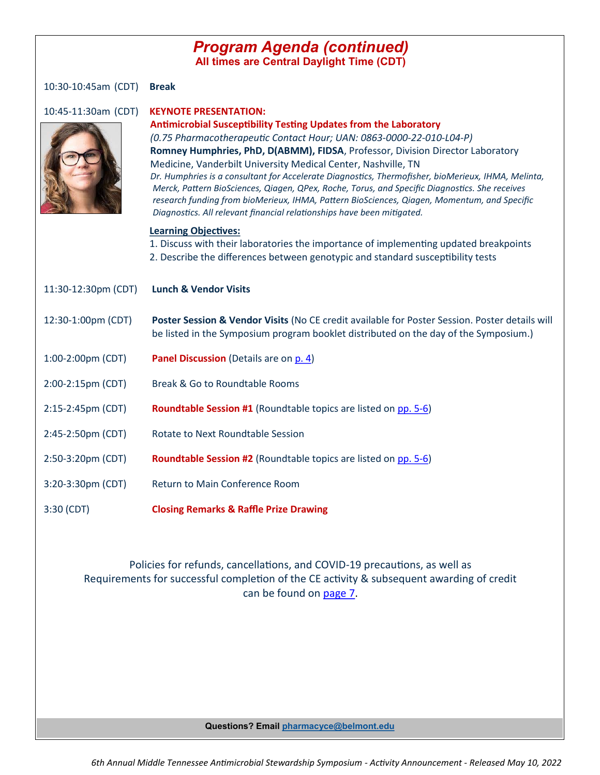### *Program Agenda (continued)* **All times are Central Daylight Time (CDT)**

10:30-10:45am (CDT) **Break**

| 10:45-11:30am (CDT) | <b>KEYNOTE PRESENTATION:</b><br><b>Antimicrobial Susceptibility Testing Updates from the Laboratory</b><br>(0.75 Pharmacotherapeutic Contact Hour; UAN: 0863-0000-22-010-L04-P)<br>Romney Humphries, PhD, D(ABMM), FIDSA, Professor, Division Director Laboratory<br>Medicine, Vanderbilt University Medical Center, Nashville, TN<br>Dr. Humphries is a consultant for Accelerate Diagnostics, Thermofisher, bioMerieux, IHMA, Melinta,<br>Merck, Pattern BioSciences, Qiagen, QPex, Roche, Torus, and Specific Diagnostics. She receives<br>research funding from bioMerieux, IHMA, Pattern BioSciences, Qiagen, Momentum, and Specific<br>Diagnostics. All relevant financial relationships have been mitigated. |
|---------------------|---------------------------------------------------------------------------------------------------------------------------------------------------------------------------------------------------------------------------------------------------------------------------------------------------------------------------------------------------------------------------------------------------------------------------------------------------------------------------------------------------------------------------------------------------------------------------------------------------------------------------------------------------------------------------------------------------------------------|
|                     | <b>Learning Objectives:</b><br>1. Discuss with their laboratories the importance of implementing updated breakpoints<br>2. Describe the differences between genotypic and standard susceptibility tests                                                                                                                                                                                                                                                                                                                                                                                                                                                                                                             |
| 11:30-12:30pm (CDT) | <b>Lunch &amp; Vendor Visits</b>                                                                                                                                                                                                                                                                                                                                                                                                                                                                                                                                                                                                                                                                                    |
| 12:30-1:00pm (CDT)  | Poster Session & Vendor Visits (No CE credit available for Poster Session. Poster details will<br>be listed in the Symposium program booklet distributed on the day of the Symposium.)                                                                                                                                                                                                                                                                                                                                                                                                                                                                                                                              |
| 1:00-2:00pm (CDT)   | Panel Discussion (Details are on p. 4)                                                                                                                                                                                                                                                                                                                                                                                                                                                                                                                                                                                                                                                                              |
| 2:00-2:15pm (CDT)   | Break & Go to Roundtable Rooms                                                                                                                                                                                                                                                                                                                                                                                                                                                                                                                                                                                                                                                                                      |
| 2:15-2:45pm (CDT)   | <b>Roundtable Session #1</b> (Roundtable topics are listed on pp. 5-6)                                                                                                                                                                                                                                                                                                                                                                                                                                                                                                                                                                                                                                              |
| 2:45-2:50pm (CDT)   | Rotate to Next Roundtable Session                                                                                                                                                                                                                                                                                                                                                                                                                                                                                                                                                                                                                                                                                   |
| 2:50-3:20pm (CDT)   | <b>Roundtable Session #2</b> (Roundtable topics are listed on pp. 5-6)                                                                                                                                                                                                                                                                                                                                                                                                                                                                                                                                                                                                                                              |
| 3:20-3:30pm (CDT)   | Return to Main Conference Room                                                                                                                                                                                                                                                                                                                                                                                                                                                                                                                                                                                                                                                                                      |
| 3:30 (CDT)          | <b>Closing Remarks &amp; Raffle Prize Drawing</b>                                                                                                                                                                                                                                                                                                                                                                                                                                                                                                                                                                                                                                                                   |

### Policies for refunds, cancellations, and COVID-19 precautions, as well as Requirements for successful completion of the CE activity & subsequent awarding of credit can be found on [page 7.](#page-6-0)

**Questions? Email [pharmacyce@belmont.edu](mailto:pharmacyce@belmont.edu)**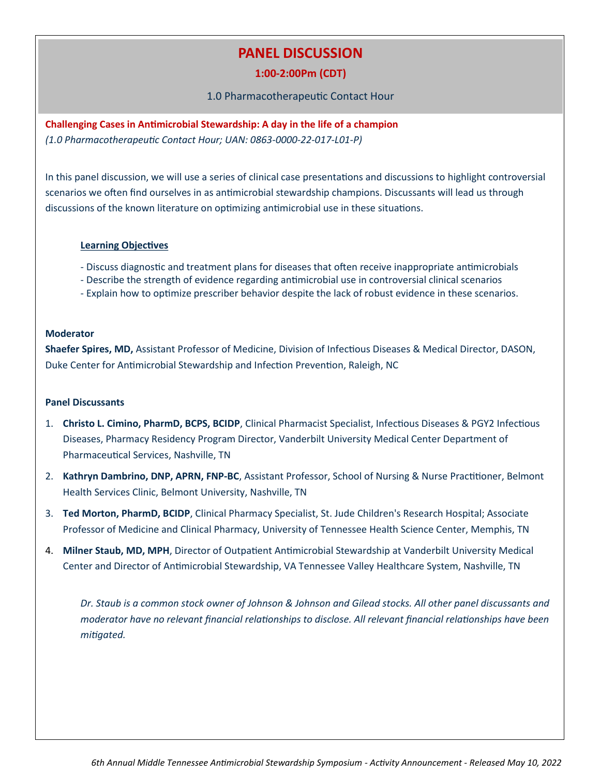## **PANEL DISCUSSION**

### **1:00-2:00Pm (CDT)**

1.0 Pharmacotherapeutic Contact Hour

<span id="page-3-0"></span>**Challenging Cases in Antimicrobial Stewardship: A day in the life of a champion**  *(1.0 Pharmacotherapeutic Contact Hour; UAN: 0863-0000-22-017-L01-P)*

In this panel discussion, we will use a series of clinical case presentations and discussions to highlight controversial scenarios we often find ourselves in as antimicrobial stewardship champions. Discussants will lead us through discussions of the known literature on optimizing antimicrobial use in these situations.

#### **Learning Objectives**

- Discuss diagnostic and treatment plans for diseases that often receive inappropriate antimicrobials
- Describe the strength of evidence regarding antimicrobial use in controversial clinical scenarios
- Explain how to optimize prescriber behavior despite the lack of robust evidence in these scenarios.

#### **Moderator**

**Shaefer Spires, MD,** Assistant Professor of Medicine, Division of Infectious Diseases & Medical Director, DASON, Duke Center for Antimicrobial Stewardship and Infection Prevention, Raleigh, NC

#### **Panel Discussants**

- 1. **Christo L. Cimino, PharmD, BCPS, BCIDP**, Clinical Pharmacist Specialist, Infectious Diseases & PGY2 Infectious Diseases, Pharmacy Residency Program Director, Vanderbilt University Medical Center Department of Pharmaceutical Services, Nashville, TN
- 2. **Kathryn Dambrino, DNP, APRN, FNP-BC**, Assistant Professor, School of Nursing & Nurse Practitioner, Belmont Health Services Clinic, Belmont University, Nashville, TN
- 3. **Ted Morton, PharmD, BCIDP**, Clinical Pharmacy Specialist, St. Jude Children's Research Hospital; Associate Professor of Medicine and Clinical Pharmacy, University of Tennessee Health Science Center, Memphis, TN
- 4. **Milner Staub, MD, MPH**, Director of Outpatient Antimicrobial Stewardship at Vanderbilt University Medical Center and Director of Antimicrobial Stewardship, VA Tennessee Valley Healthcare System, Nashville, TN

*Dr. Staub is a common stock owner of Johnson & Johnson and Gilead stocks. All other panel discussants and moderator have no relevant financial relationships to disclose. All relevant financial relationships have been mitigated.*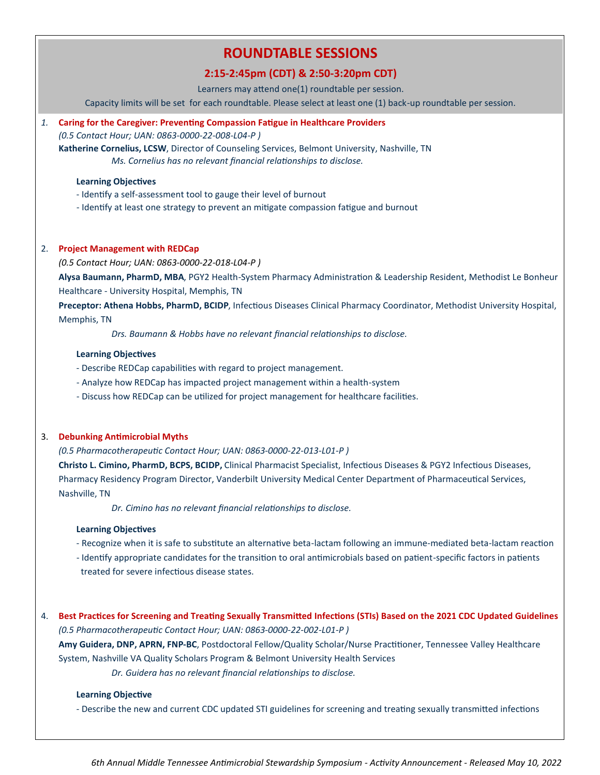## **ROUNDTABLE SESSIONS**

### **2:15-2:45pm (CDT) & 2:50-3:20pm CDT)**

Learners may attend one(1) roundtable per session.

Capacity limits will be set for each roundtable. Please select at least one (1) back-up roundtable per session.

#### <span id="page-4-0"></span>*1.* **Caring for the Caregiver: Preventing Compassion Fatigue in Healthcare Providers**

*(0.5 Contact Hour; UAN: 0863-0000-22-008-L04-P )*

**Katherine Cornelius, LCSW**, Director of Counseling Services, Belmont University, Nashville, TN *Ms. Cornelius has no relevant financial relationships to disclose.*

#### **Learning Objectives**

- Identify a self-assessment tool to gauge their level of burnout

- Identify at least one strategy to prevent an mitigate compassion fatigue and burnout

#### 2. **Project Management with REDCap**

*(0.5 Contact Hour; UAN: 0863-0000-22-018-L04-P )* 

**Alysa Baumann, PharmD, MBA**, PGY2 Health-System Pharmacy Administration & Leadership Resident, Methodist Le Bonheur Healthcare - University Hospital, Memphis, TN

**Preceptor: Athena Hobbs, PharmD, BCIDP**, Infectious Diseases Clinical Pharmacy Coordinator, Methodist University Hospital, Memphis, TN

*Drs. Baumann & Hobbs have no relevant financial relationships to disclose.*

#### **Learning Objectives**

- Describe REDCap capabilities with regard to project management.

- Analyze how REDCap has impacted project management within a health-system
- Discuss how REDCap can be utilized for project management for healthcare facilities.

#### 3. **Debunking Antimicrobial Myths**

*(0.5 Pharmacotherapeutic Contact Hour; UAN: 0863-0000-22-013-L01-P )* 

**Christo L. Cimino, PharmD, BCPS, BCIDP,** Clinical Pharmacist Specialist, Infectious Diseases & PGY2 Infectious Diseases, Pharmacy Residency Program Director, Vanderbilt University Medical Center Department of Pharmaceutical Services, Nashville, TN

*Dr. Cimino has no relevant financial relationships to disclose.*

#### **Learning Objectives**

- Recognize when it is safe to substitute an alternative beta-lactam following an immune-mediated beta-lactam reaction
- Identify appropriate candidates for the transition to oral antimicrobials based on patient-specific factors in patients treated for severe infectious disease states.

4. **Best Practices for Screening and Treating Sexually Transmitted Infections (STIs) Based on the 2021 CDC Updated Guidelines** *(0.5 Pharmacotherapeutic Contact Hour; UAN: 0863-0000-22-002-L01-P )* 

**Amy Guidera, DNP, APRN, FNP-BC**, Postdoctoral Fellow/Quality Scholar/Nurse Practitioner, Tennessee Valley Healthcare System, Nashville VA Quality Scholars Program & Belmont University Health Services

*Dr. Guidera has no relevant financial relationships to disclose.*

#### **Learning Objective**

- Describe the new and current CDC updated STI guidelines for screening and treating sexually transmitted infections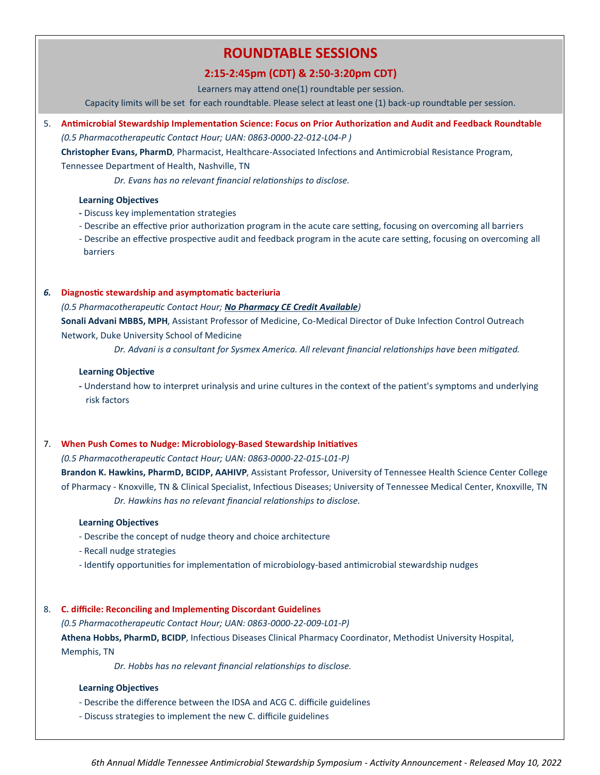## **ROUNDTABLE SESSIONS**

### **2:15-2:45pm (CDT) & 2:50-3:20pm CDT)**

Learners may attend one(1) roundtable per session.

Capacity limits will be set for each roundtable. Please select at least one (1) back-up roundtable per session.

#### 5. **Antimicrobial Stewardship Implementation Science: Focus on Prior Authorization and Audit and Feedback Roundtable**

*(0.5 Pharmacotherapeutic Contact Hour; UAN: 0863-0000-22-012-L04-P )* 

**Christopher Evans, PharmD**, Pharmacist, Healthcare-Associated Infections and Antimicrobial Resistance Program, Tennessee Department of Health, Nashville, TN

*Dr. Evans has no relevant financial relationships to disclose.*

#### **Learning Objectives**

- **-** Discuss key implementation strategies
- Describe an effective prior authorization program in the acute care setting, focusing on overcoming all barriers
- Describe an effective prospective audit and feedback program in the acute care setting, focusing on overcoming all barriers

#### *6.* **Diagnostic stewardship and asymptomatic bacteriuria**

*(0.5 Pharmacotherapeutic Contact Hour; No Pharmacy CE Credit Available)*

**Sonali Advani MBBS, MPH**, Assistant Professor of Medicine, Co-Medical Director of Duke Infection Control Outreach Network, Duke University School of Medicine

*Dr. Advani is a consultant for Sysmex America. All relevant financial relationships have been mitigated.*

#### **Learning Objective**

**-** Understand how to interpret urinalysis and urine cultures in the context of the patient's symptoms and underlying risk factors

#### 7. **When Push Comes to Nudge: Microbiology-Based Stewardship Initiatives**

*(0.5 Pharmacotherapeutic Contact Hour; UAN: 0863-0000-22-015-L01-P)* 

**Brandon K. Hawkins, PharmD, BCIDP, AAHIVP**, Assistant Professor, University of Tennessee Health Science Center College of Pharmacy - Knoxville, TN & Clinical Specialist, Infectious Diseases; University of Tennessee Medical Center, Knoxville, TN *Dr. Hawkins has no relevant financial relationships to disclose.*

#### **Learning Objectives**

- Describe the concept of nudge theory and choice architecture
- Recall nudge strategies
- Identify opportunities for implementation of microbiology-based antimicrobial stewardship nudges

#### 8. **C. difficile: Reconciling and Implementing Discordant Guidelines**

*(0.5 Pharmacotherapeutic Contact Hour; UAN: 0863-0000-22-009-L01-P)*  **Athena Hobbs, PharmD, BCIDP**, Infectious Diseases Clinical Pharmacy Coordinator, Methodist University Hospital, Memphis, TN

*Dr. Hobbs has no relevant financial relationships to disclose.*

#### **Learning Objectives**

- Describe the difference between the IDSA and ACG C. difficile guidelines
- Discuss strategies to implement the new C. difficile guidelines